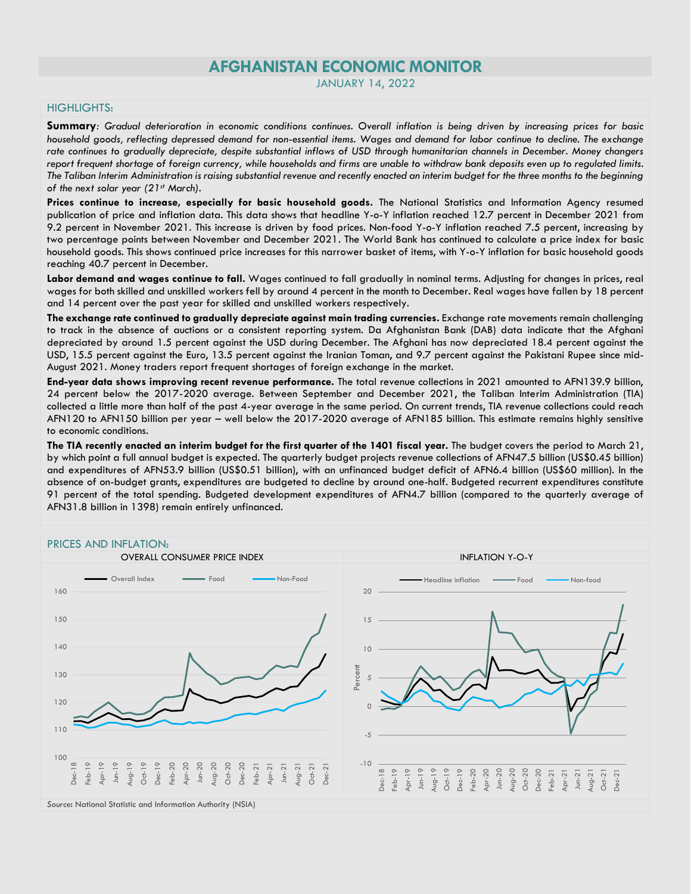# **AFGHANISTAN ECONOMIC MONITOR**

JANUARY 14, 2022

### HIGHLIGHTS:

**Summary***: Gradual deterioration in economic conditions continues. Overall inflation is being driven by increasing prices for basic household goods, reflecting depressed demand for non-essential items. Wages and demand for labor continue to decline. The exchange rate continues to gradually depreciate, despite substantial inflows of USD through humanitarian channels in December. Money changers report frequent shortage of foreign currency, while households and firms are unable to withdraw bank deposits even up to regulated limits. The Taliban Interim Administration is raising substantial revenue and recently enacted an interim budget for the three months to the beginning of the next solar year (21st March).*

**Prices continue to increase, especially for basic household goods.** The National Statistics and Information Agency resumed publication of price and inflation data. This data shows that headline Y-o-Y inflation reached 12.7 percent in December 2021 from 9.2 percent in November 2021. This increase is driven by food prices. Non-food Y-o-Y inflation reached 7.5 percent, increasing by two percentage points between November and December 2021. The World Bank has continued to calculate a price index for basic household goods. This shows continued price increases for this narrower basket of items, with Y-o-Y inflation for basic household goods reaching 40.7 percent in December.

**Labor demand and wages continue to fall.** Wages continued to fall gradually in nominal terms. Adjusting for changes in prices, real wages for both skilled and unskilled workers fell by around 4 percent in the month to December. Real wages have fallen by 18 percent and 14 percent over the past year for skilled and unskilled workers respectively.

**The exchange rate continued to gradually depreciate against main trading currencies.** Exchange rate movements remain challenging to track in the absence of auctions or a consistent reporting system. Da Afghanistan Bank (DAB) data indicate that the Afghani depreciated by around 1.5 percent against the USD during December. The Afghani has now depreciated 18.4 percent against the USD, 15.5 percent against the Euro, 13.5 percent against the Iranian Toman, and 9.7 percent against the Pakistani Rupee since mid-August 2021. Money traders report frequent shortages of foreign exchange in the market.

**End-year data shows improving recent revenue performance.** The total revenue collections in 2021 amounted to AFN139.9 billion, 24 percent below the 2017-2020 average. Between September and December 2021, the Taliban Interim Administration (TIA) collected a little more than half of the past 4-year average in the same period. On current trends, TIA revenue collections could reach AFN120 to AFN150 billion per year – well below the 2017-2020 average of AFN185 billion. This estimate remains highly sensitive to economic conditions.

**The TIA recently enacted an interim budget for the first quarter of the 1401 fiscal year.** The budget covers the period to March 21, by which point a full annual budget is expected. The quarterly budget projects revenue collections of AFN47.5 billion (US\$0.45 billion) and expenditures of AFN53.9 billion (US\$0.51 billion), with an unfinanced budget deficit of AFN6.4 billion (US\$60 million). In the absence of on-budget grants, expenditures are budgeted to decline by around one-half. Budgeted recurrent expenditures constitute 91 percent of the total spending. Budgeted development expenditures of AFN4.7 billion (compared to the quarterly average of AFN31.8 billion in 1398) remain entirely unfinanced.

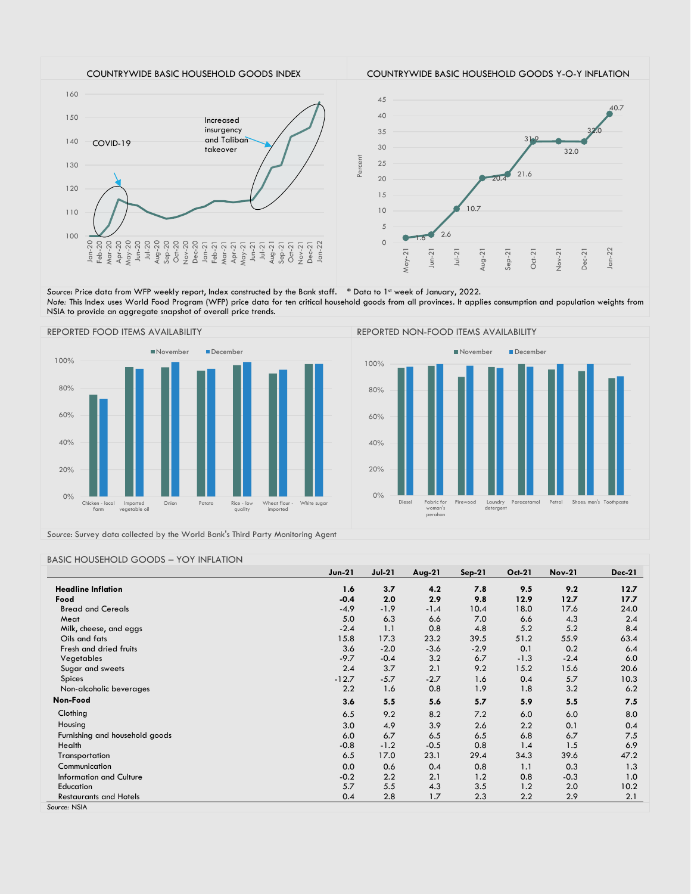

Source: Price data from WFP weekly report, Index constructed by the Bank staff. \* Data to 1st week of January, 2022. *Note:* This Index uses World Food Program (WFP) price data for ten critical household goods from all provinces. It applies consumption and population weights from NSIA to provide an aggregate snapshot of overall price trends.





*Source*: Survey data collected by the World Bank's Third Party Monitoring Agent

#### BASIC HOUSEHOLD GOODS – YOY INFLATION

|                                | <b>Jun-21</b> | $Jul-21$ | $Avg-21$ | $Sep-21$ | <b>Oct-21</b> | <b>Nov-21</b> | <b>Dec-21</b> |
|--------------------------------|---------------|----------|----------|----------|---------------|---------------|---------------|
| <b>Headline Inflation</b>      | 1.6           | 3.7      | 4.2      | 7.8      | 9.5           | 9.2           | 12.7          |
| Food                           | $-0.4$        | 2.0      | 2.9      | 9.8      | 12.9          | 12.7          | 17.7          |
| <b>Bread and Cereals</b>       | $-4.9$        | $-1.9$   | $-1.4$   | 10.4     | 18.0          | 17.6          | 24.0          |
| Meat                           | 5.0           | 6.3      | 6.6      | 7.0      | 6.6           | 4.3           | 2.4           |
| Milk, cheese, and eggs         | $-2.4$        | 1.1      | 0.8      | 4.8      | 5.2           | 5.2           | 8.4           |
| Oils and fats                  | 15.8          | 17.3     | 23.2     | 39.5     | 51.2          | 55.9          | 63.4          |
| Fresh and dried fruits         | 3.6           | $-2.0$   | $-3.6$   | $-2.9$   | 0.1           | 0.2           | 6.4           |
| Vegetables                     | $-9.7$        | $-0.4$   | 3.2      | 6.7      | $-1.3$        | $-2.4$        | 6.0           |
| Sugar and sweets               | 2.4           | 3.7      | 2.1      | 9.2      | 15.2          | 15.6          | 20.6          |
| Spices                         | $-12.7$       | $-5.7$   | $-2.7$   | 1.6      | 0.4           | 5.7           | 10.3          |
| Non-alcoholic beverages        | 2.2           | 1.6      | 0.8      | 1.9      | 1.8           | 3.2           | 6.2           |
| Non-Food                       | 3.6           | 5.5      | 5.6      | 5.7      | 5.9           | 5.5           | 7.5           |
| Clothing                       | 6.5           | 9.2      | 8.2      | 7.2      | 6.0           | 6.0           | 8.0           |
| Housing                        | 3.0           | 4.9      | 3.9      | 2.6      | 2.2           | 0.1           | 0.4           |
| Furnishing and household goods | 6.0           | 6.7      | 6.5      | 6.5      | 6.8           | 6.7           | 7.5           |
| Health                         | $-0.8$        | $-1.2$   | $-0.5$   | 0.8      | 1.4           | 1.5           | 6.9           |
| Transportation                 | 6.5           | 17.0     | 23.1     | 29.4     | 34.3          | 39.6          | 47.2          |
| Communication                  | 0.0           | 0.6      | 0.4      | 0.8      | 1.1           | 0.3           | 1.3           |
| Information and Culture        | $-0.2$        | 2.2      | 2.1      | 1.2      | 0.8           | $-0.3$        | 1.0           |
| Education                      | 5.7           | 5.5      | 4.3      | 3.5      | 1.2           | 2.0           | 10.2          |
| <b>Restaurants and Hotels</b>  | 0.4           | 2.8      | 1.7      | 2.3      | 2.2           | 2.9           | 2.1           |
| Source: NSIA                   |               |          |          |          |               |               |               |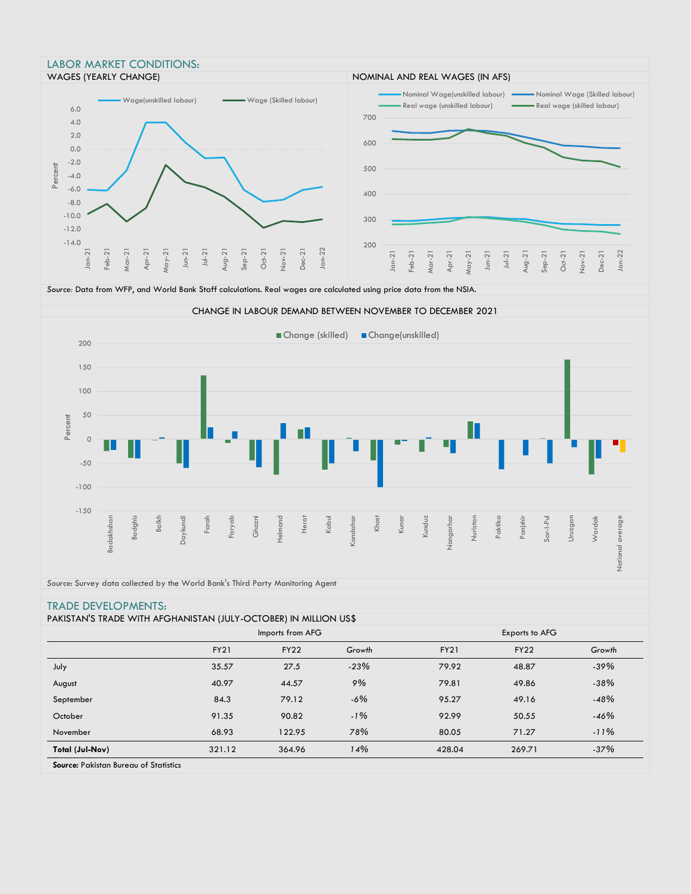



National average

National average

*Source*: Survey data collected by the World Bank's Third Party Monitoring Agent

## TRADE DEVELOPMENTS:

|                        | Imports from AFG |             |        | Exports to AFG |             |        |  |
|------------------------|------------------|-------------|--------|----------------|-------------|--------|--|
|                        | <b>FY21</b>      | <b>FY22</b> | Growth | <b>FY21</b>    | <b>FY22</b> | Growth |  |
| July                   | 35.57            | 27.5        | $-23%$ | 79.92          | 48.87       | $-39%$ |  |
| August                 | 40.97            | 44.57       | 9%     | 79.81          | 49.86       | $-38%$ |  |
| September              | 84.3             | 79.12       | $-6\%$ | 95.27          | 49.16       | $-48%$ |  |
| October                | 91.35            | 90.82       | $-1\%$ | 92.99          | 50.55       | $-46%$ |  |
| November               | 68.93            | 122.95      | 78%    | 80.05          | 71.27       | $-11%$ |  |
| <b>Total (Jul-Nov)</b> | 321.12           | 364.96      | 14%    | 428.04         | 269.71      | $-37%$ |  |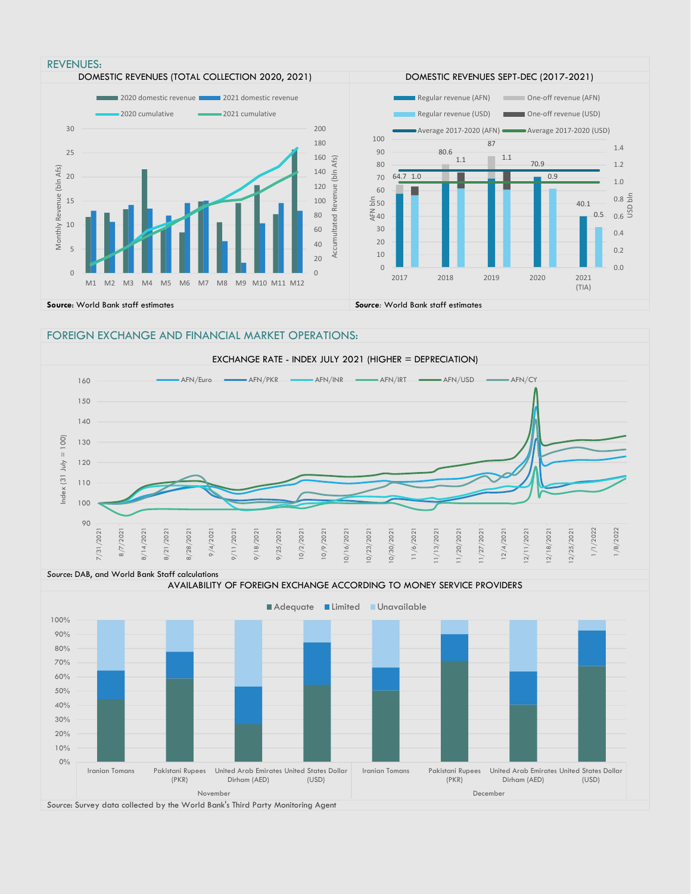

### FOREIGN EXCHANGE AND FINANCIAL MARKET OPERATIONS:



*Source*: DAB, and World Bank Staff calculations

AVAILABILITY OF FOREIGN EXCHANGE ACCORDING TO MONEY SERVICE PROVIDERS